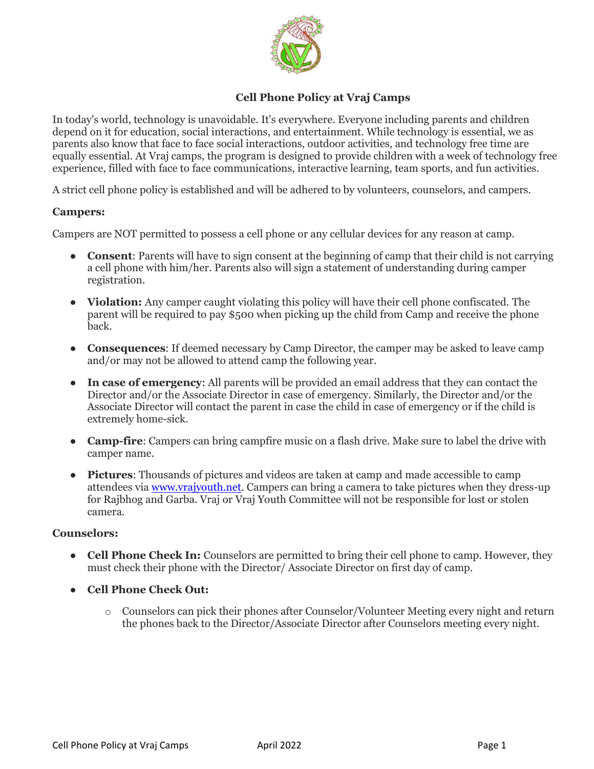

# **Cell Phone Policy at Vraj Camps**

In today's world, technology is unavoidable. It's everywhere. Everyone including parents and children depend on it for education, social interactions, and entertainment. While technology is essential, we as parents also know that face to face social interactions, outdoor activities, and technology free time are equally essential. At Vraj camps, the program is designed to provide children with a week of technology free experience, filled with face to face communications, interactive learning, team sports, and fun activities.

A strict cell phone policy is established and will be adhered to by volunteers, counselors, and campers.

## **Campers:**

Campers are NOT permitted to possess a cell phone or any cellular devices for any reason at camp.

- **Consent**: Parents will have to sign consent at the beginning of camp that their child is not carrying a cell phone with him/her. Parents also will sign a statement of understanding during camper registration.
- **Violation:** Any camper caught violating this policy will have their cell phone confiscated. The parent will be required to pay \$500 when picking up the child from Camp and receive the phone back.
- **Consequences**: If deemed necessary by Camp Director, the camper may be asked to leave camp and/or may not be allowed to attend camp the following year.
- **In case of emergency**: All parents will be provided an email address that they can contact the Director and/or the Associate Director in case of emergency. Similarly, the Director and/or the Associate Director will contact the parent in case the child in case of emergency or if the child is extremely home-sick.
- **Camp-fire**: Campers can bring campfire music on a flash drive. Make sure to label the drive with camper name.
- **Pictures**: Thousands of pictures and videos are taken at camp and made accessible to camp attendees via [www.vrajyouth.net.](www.vrajyouth.net) Campers can bring a camera to take pictures when they dress-up for Rajbhog and Garba. Vraj or Vraj Youth Committee will not be responsible for lost or stolen camera.

## **Counselors:**

- **Cell Phone Check In:** Counselors are permitted to bring their cell phone to camp. However, they must check their phone with the Director/ Associate Director on first day of camp.
- **Cell Phone Check Out:** 
	- o Counselors can pick their phones after Counselor/Volunteer Meeting every night and return the phones back to the Director/Associate Director after Counselors meeting every night.